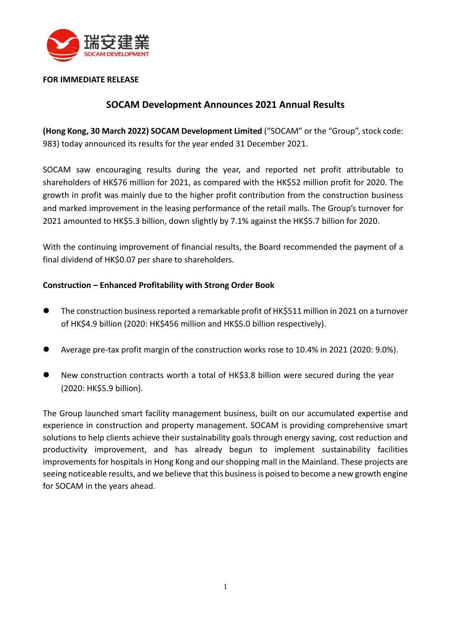

### **FOR IMMEDIATE RELEASE**

# **SOCAM Development Announces 2021 Annual Results**

**(Hong Kong, 30 March 2022) SOCAM Development Limited** ("SOCAM" or the "Group", stock code: 983) today announced its results for the year ended 31 December 2021.

SOCAM saw encouraging results during the year, and reported net profit attributable to shareholders of HK\$76 million for 2021, as compared with the HK\$52 million profit for 2020. The growth in profit was mainly due to the higher profit contribution from the construction business and marked improvement in the leasing performance of the retail malls. The Group's turnover for 2021 amounted to HK\$5.3 billion, down slightly by 7.1% against the HK\$5.7 billion for 2020.

With the continuing improvement of financial results, the Board recommended the payment of a final dividend of HK\$0.07 per share to shareholders.

### **Construction – Enhanced Profitability with Strong Order Book**

- ⚫ The construction business reported a remarkable profit of HK\$511 million in 2021 on a turnover of HK\$4.9 billion (2020: HK\$456 million and HK\$5.0 billion respectively).
- ⚫ Average pre-tax profit margin of the construction works rose to 10.4% in 2021 (2020: 9.0%).
- ⚫ New construction contracts worth a total of HK\$3.8 billion were secured during the year (2020: HK\$5.9 billion).

The Group launched smart facility management business, built on our accumulated expertise and experience in construction and property management. SOCAM is providing comprehensive smart solutions to help clients achieve their sustainability goals through energy saving, cost reduction and productivity improvement, and has already begun to implement sustainability facilities improvements for hospitals in Hong Kong and our shopping mall in the Mainland. These projects are seeing noticeable results, and we believe that this business is poised to become a new growth engine for SOCAM in the years ahead.